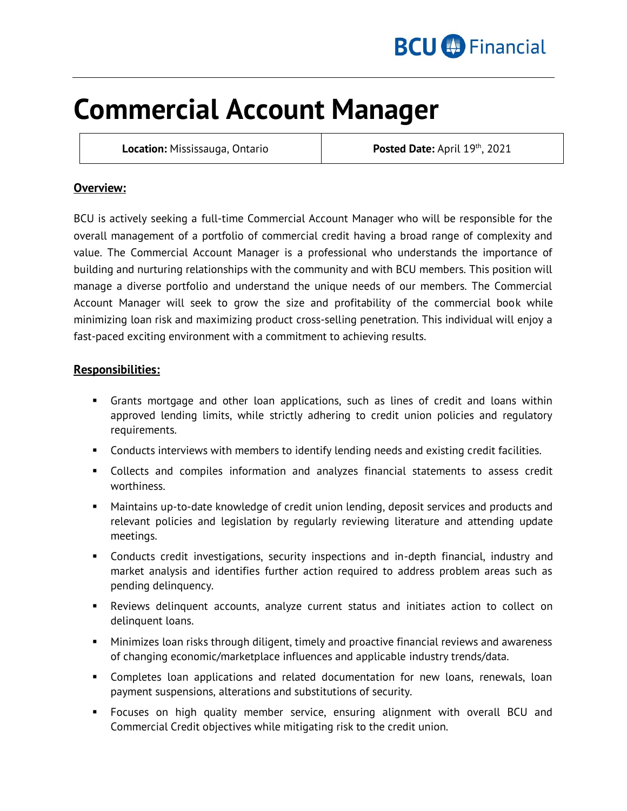

# **Commercial Account Manager**

**Location: Mississauga, Ontario** 

Posted Date: April 19th, 2021

## **Overview:**

BCU is actively seeking a full-time Commercial Account Manager who will be responsible for the overall management of a portfolio of commercial credit having a broad range of complexity and value. The Commercial Account Manager is a professional who understands the importance of building and nurturing relationships with the community and with BCU members. This position will manage a diverse portfolio and understand the unique needs of our members. The Commercial Account Manager will seek to grow the size and profitability of the commercial book while minimizing loan risk and maximizing product cross-selling penetration. This individual will enjoy a fast-paced exciting environment with a commitment to achieving results.

## **Responsibilities:**

- Grants mortgage and other loan applications, such as lines of credit and loans within approved lending limits, while strictly adhering to credit union policies and regulatory requirements.
- Conducts interviews with members to identify lending needs and existing credit facilities.
- Collects and compiles information and analyzes financial statements to assess credit worthiness.
- Maintains up-to-date knowledge of credit union lending, deposit services and products and relevant policies and legislation by regularly reviewing literature and attending update meetings.
- Conducts credit investigations, security inspections and in-depth financial, industry and market analysis and identifies further action required to address problem areas such as pending delinquency.
- Reviews delinquent accounts, analyze current status and initiates action to collect on delinquent loans.
- Minimizes loan risks through diligent, timely and proactive financial reviews and awareness of changing economic/marketplace influences and applicable industry trends/data.
- Completes loan applications and related documentation for new loans, renewals, loan payment suspensions, alterations and substitutions of security.
- Focuses on high quality member service, ensuring alignment with overall BCU and Commercial Credit objectives while mitigating risk to the credit union.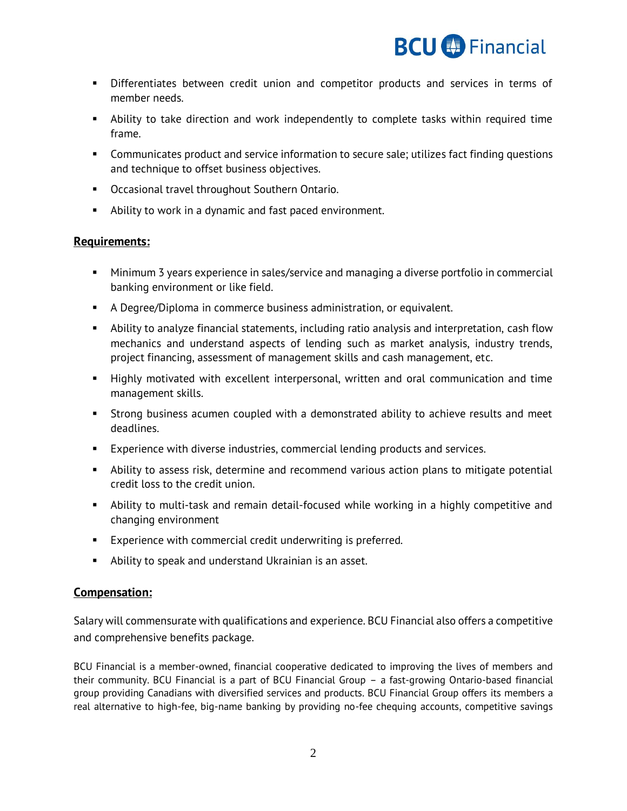

- **•** Differentiates between credit union and competitor products and services in terms of member needs.
- Ability to take direction and work independently to complete tasks within required time frame.
- Communicates product and service information to secure sale; utilizes fact finding questions and technique to offset business objectives.
- Occasional travel throughout Southern Ontario.
- Ability to work in a dynamic and fast paced environment.

### **Requirements:**

- Minimum 3 years experience in sales/service and managing a diverse portfolio in commercial banking environment or like field.
- A Degree/Diploma in commerce business administration, or equivalent.
- Ability to analyze financial statements, including ratio analysis and interpretation, cash flow mechanics and understand aspects of lending such as market analysis, industry trends, project financing, assessment of management skills and cash management, etc.
- Highly motivated with excellent interpersonal, written and oral communication and time management skills.
- Strong business acumen coupled with a demonstrated ability to achieve results and meet deadlines.
- **Experience with diverse industries, commercial lending products and services.**
- Ability to assess risk, determine and recommend various action plans to mitigate potential credit loss to the credit union.
- Ability to multi-task and remain detail-focused while working in a highly competitive and changing environment
- **Experience with commercial credit underwriting is preferred.**
- Ability to speak and understand Ukrainian is an asset.

### **Compensation:**

Salary will commensurate with qualifications and experience. BCU Financial also offers a competitive and comprehensive benefits package.

BCU Financial is a member-owned, financial cooperative dedicated to improving the lives of members and their community. BCU Financial is a part of BCU Financial Group – a fast-growing Ontario-based financial group providing Canadians with diversified services and products. BCU Financial Group offers its members a real alternative to high-fee, big-name banking by providing no-fee chequing accounts, competitive savings